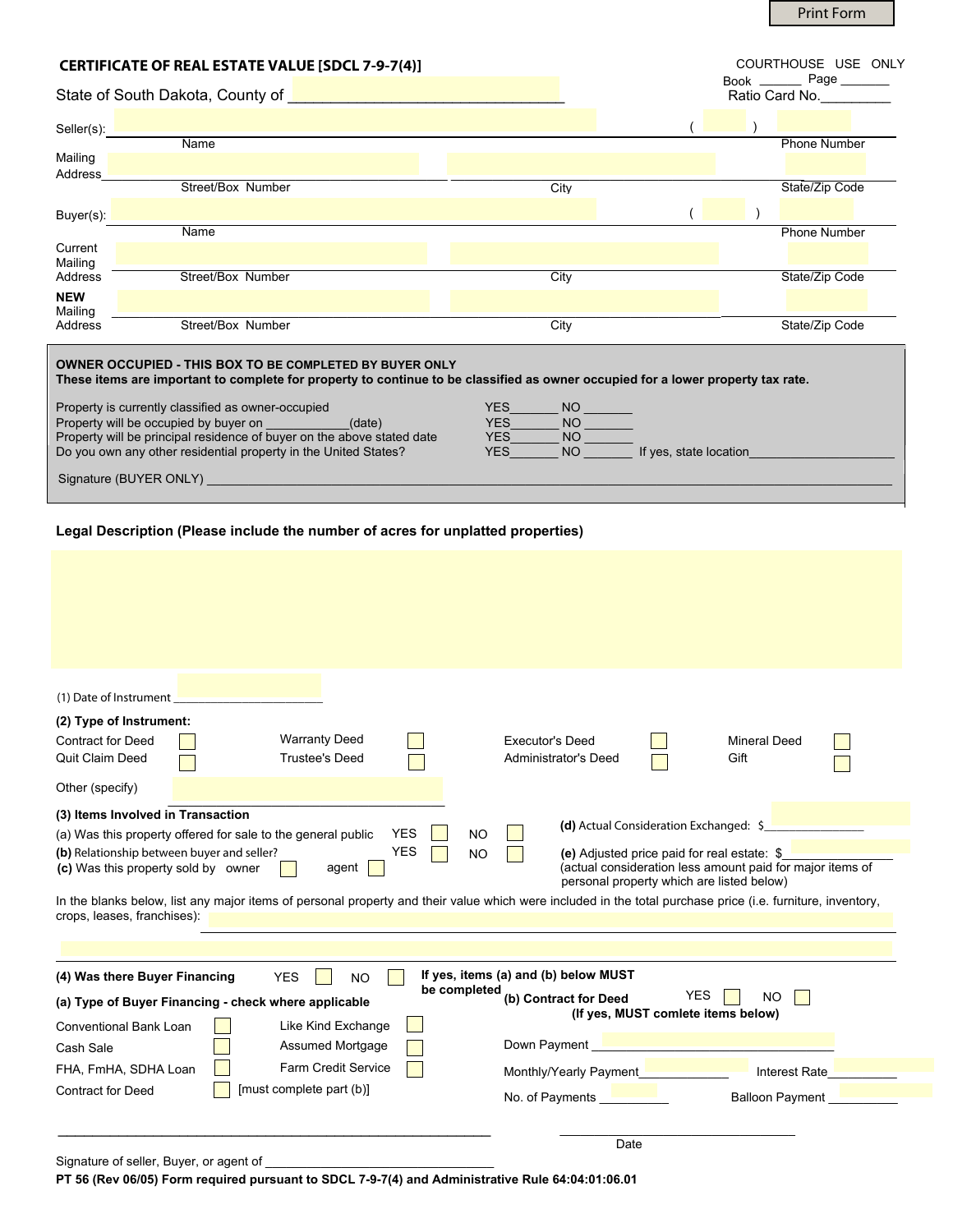Print Form

| <b>CERTIFICATE OF REAL ESTATE VALUE [SDCL 7-9-7(4)]</b>                                                                                                                                            |                   |      |                | COURTHOUSE USE ONLY |                     |  |  |
|----------------------------------------------------------------------------------------------------------------------------------------------------------------------------------------------------|-------------------|------|----------------|---------------------|---------------------|--|--|
| State of South Dakota, County of                                                                                                                                                                   |                   |      | Ratio Card No. |                     |                     |  |  |
| Seller(s):                                                                                                                                                                                         |                   |      |                |                     |                     |  |  |
| Mailing<br>Address                                                                                                                                                                                 | <b>Name</b>       |      |                |                     | <b>Phone Number</b> |  |  |
| Buyer(s):                                                                                                                                                                                          | Street/Box Number | City |                |                     | State/Zip Code      |  |  |
|                                                                                                                                                                                                    | Name              |      |                |                     | <b>Phone Number</b> |  |  |
| Current<br>Mailing                                                                                                                                                                                 |                   |      |                |                     |                     |  |  |
| Address<br><b>NEW</b><br>Mailing                                                                                                                                                                   | Street/Box Number | City |                |                     | State/Zip Code      |  |  |
| Address                                                                                                                                                                                            | Street/Box Number | City |                |                     | State/Zip Code      |  |  |
| <b>OWNER OCCUPIED - THIS BOX TO BE COMPLETED BY BUYER ONLY</b><br>These items are important to complete for property to continue to be classified as owner occupied for a lower property tax rate. |                   |      |                |                     |                     |  |  |

| Property is currently classified as owner-occupied<br>Property will be occupied by buyer on<br>(date)<br>Property will be principal residence of buyer on the above stated date<br>Do you own any other residential property in the United States? | YES.<br>NO<br><b>NO</b><br>YES<br>YES<br>ΝO<br>YES<br><b>NO</b><br>If yes, state location |
|----------------------------------------------------------------------------------------------------------------------------------------------------------------------------------------------------------------------------------------------------|-------------------------------------------------------------------------------------------|
| Signature (BUYER ONLY)                                                                                                                                                                                                                             |                                                                                           |

## **Legal Description (Please include the number of acres for unplatted properties)**

| (1) Date of Instrument                                                                                                                                                                    |                                                                                                          |  |  |  |  |  |  |
|-------------------------------------------------------------------------------------------------------------------------------------------------------------------------------------------|----------------------------------------------------------------------------------------------------------|--|--|--|--|--|--|
| (2) Type of Instrument:                                                                                                                                                                   |                                                                                                          |  |  |  |  |  |  |
| <b>Warranty Deed</b><br><b>Contract for Deed</b>                                                                                                                                          | <b>Executor's Deed</b><br>Mineral Deed                                                                   |  |  |  |  |  |  |
| Quit Claim Deed<br><b>Trustee's Deed</b>                                                                                                                                                  | Administrator's Deed<br>Gift                                                                             |  |  |  |  |  |  |
| Other (specify)                                                                                                                                                                           |                                                                                                          |  |  |  |  |  |  |
| (3) Items Involved in Transaction                                                                                                                                                         |                                                                                                          |  |  |  |  |  |  |
| <b>YES</b><br><b>NO</b><br>(a) Was this property offered for sale to the general public                                                                                                   | (d) Actual Consideration Exchanged: \$                                                                   |  |  |  |  |  |  |
| <b>YES</b><br>(b) Relationship between buyer and seller?<br><b>NO</b>                                                                                                                     | (e) Adjusted price paid for real estate: \$<br>(actual consideration less amount paid for major items of |  |  |  |  |  |  |
| (c) Was this property sold by owner<br>agent                                                                                                                                              | personal property which are listed below)                                                                |  |  |  |  |  |  |
| In the blanks below, list any major items of personal property and their value which were included in the total purchase price (i.e. furniture, inventory,<br>crops, leases, franchises): |                                                                                                          |  |  |  |  |  |  |
|                                                                                                                                                                                           |                                                                                                          |  |  |  |  |  |  |
|                                                                                                                                                                                           |                                                                                                          |  |  |  |  |  |  |
| (4) Was there Buyer Financing<br><b>YES</b><br><b>NO</b>                                                                                                                                  | If yes, items (a) and (b) below MUST                                                                     |  |  |  |  |  |  |
| be completed<br>(a) Type of Buyer Financing - check where applicable                                                                                                                      | <b>YES</b><br>(b) Contract for Deed<br><b>NO</b>                                                         |  |  |  |  |  |  |
| Like Kind Exchange<br><b>Conventional Bank Loan</b>                                                                                                                                       | (If yes, MUST comlete items below)                                                                       |  |  |  |  |  |  |
| Assumed Mortgage<br>Cash Sale                                                                                                                                                             | Down Payment                                                                                             |  |  |  |  |  |  |
| Farm Credit Service<br>FHA, FmHA, SDHA Loan                                                                                                                                               | Monthly/Yearly Payment<br>Interest Rate                                                                  |  |  |  |  |  |  |
| [must complete part (b)]<br><b>Contract for Deed</b>                                                                                                                                      |                                                                                                          |  |  |  |  |  |  |
|                                                                                                                                                                                           | <b>Balloon Payment</b><br>No. of Payments                                                                |  |  |  |  |  |  |
|                                                                                                                                                                                           |                                                                                                          |  |  |  |  |  |  |
| Signature of seller, Buyer, or agent of                                                                                                                                                   | Date                                                                                                     |  |  |  |  |  |  |
|                                                                                                                                                                                           |                                                                                                          |  |  |  |  |  |  |

**PT 56 (Rev 06/05) Form required pursuant to SDCL 7-9-7(4) and Administrative Rule 64:04:01:06.01**